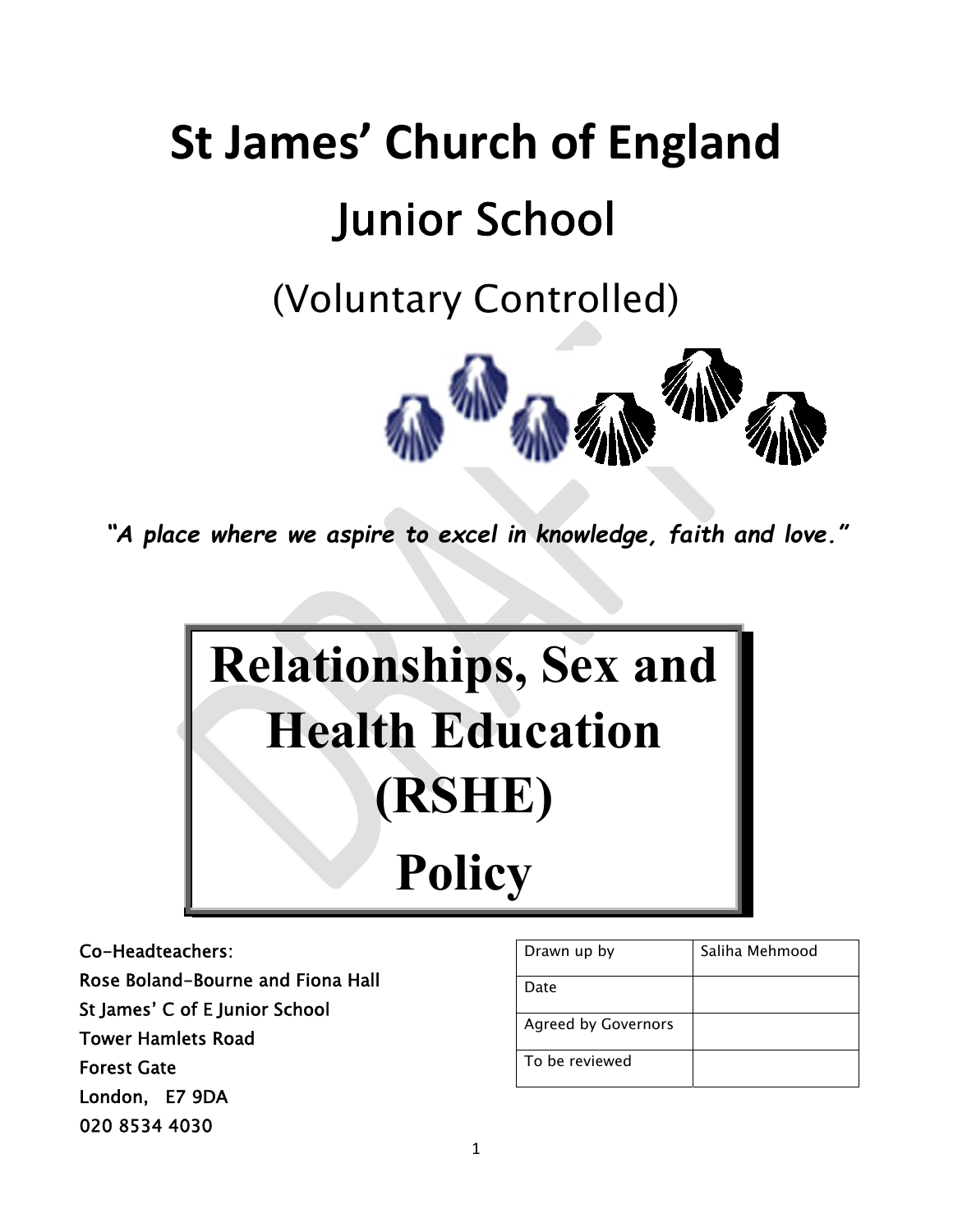# **St James' Church of England**  Junior School

(Voluntary Controlled)



*"A place where we aspire to excel in knowledge, faith and love."*



Co-Headteachers:

Rose Boland-Bourne and Fiona Hall St James' C of E Junior School

Tower Hamlets Road

Forest Gate

London, E7 9DA

020 8534 4030

| Drawn up by                | Saliha Mehmood |
|----------------------------|----------------|
| Date                       |                |
| <b>Agreed by Governors</b> |                |
| To be reviewed             |                |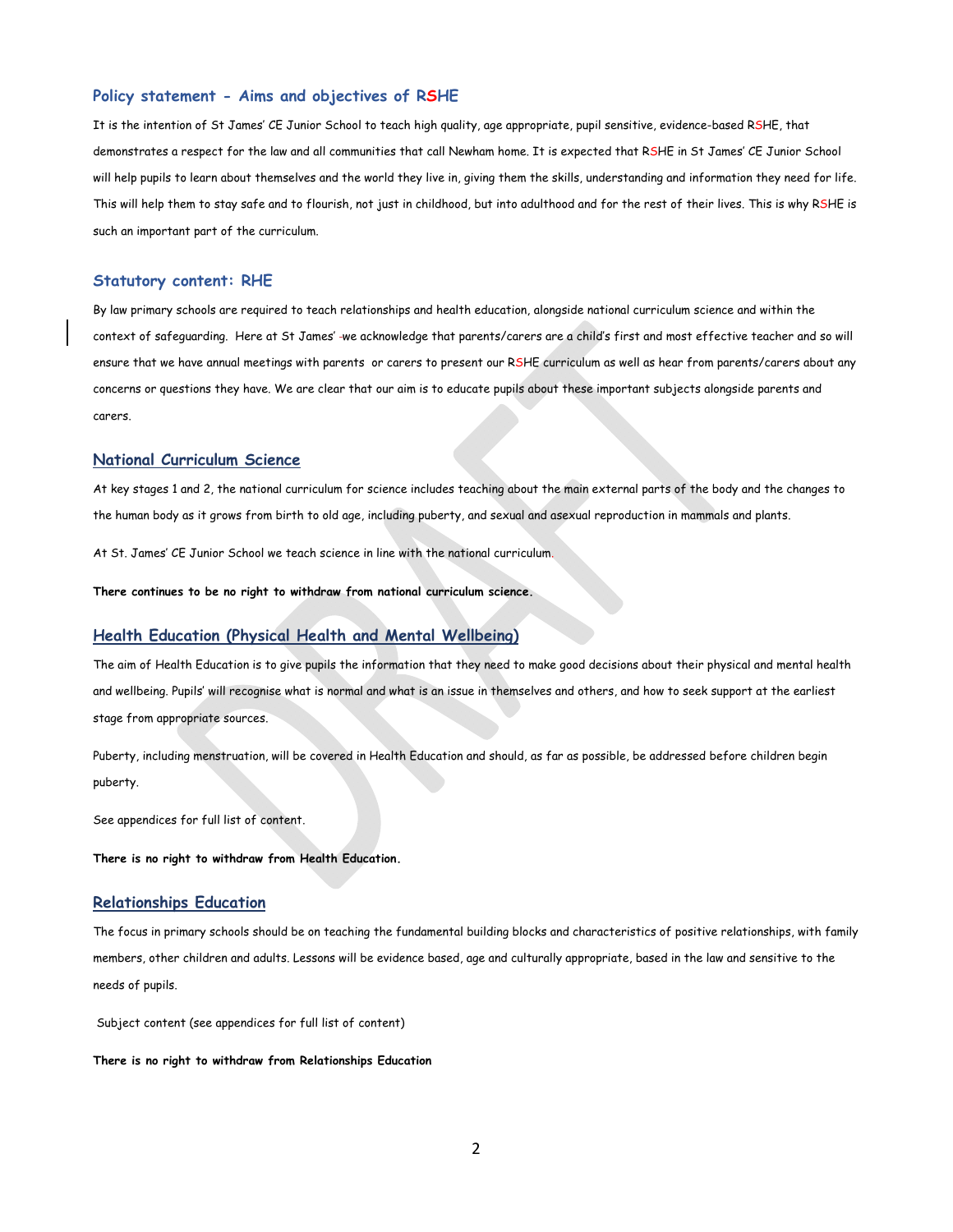#### **Policy statement - Aims and objectives of RSHE**

It is the intention of St James' CE Junior School to teach high quality, age appropriate, pupil sensitive, evidence-based RSHE, that demonstrates a respect for the law and all communities that call Newham home. It is expected that RSHE in St James' CE Junior School will help pupils to learn about themselves and the world they live in, giving them the skills, understanding and information they need for life. This will help them to stay safe and to flourish, not just in childhood, but into adulthood and for the rest of their lives. This is why RSHE is such an important part of the curriculum.

#### **Statutory content: RHE**

By law primary schools are required to teach relationships and health education, alongside national curriculum science and within the context of safeguarding. Here at St James' we acknowledge that parents/carers are a child's first and most effective teacher and so will ensure that we have annual meetings with parents or carers to present our RSHE curriculum as well as hear from parents/carers about any concerns or questions they have. We are clear that our aim is to educate pupils about these important subjects alongside parents and carers.

#### **National Curriculum Science**

At key stages 1 and 2, the national curriculum for science includes teaching about the main external parts of the body and the changes to the human body as it grows from birth to old age, including puberty, and sexual and asexual reproduction in mammals and plants.

At St. James' CE Junior School we teach science in line with the national curriculum.

**There continues to be no right to withdraw from national curriculum science.** 

#### **Health Education (Physical Health and Mental Wellbeing)**

The aim of Health Education is to give pupils the information that they need to make good decisions about their physical and mental health and wellbeing. Pupils' will recognise what is normal and what is an issue in themselves and others, and how to seek support at the earliest stage from appropriate sources.

Puberty, including menstruation, will be covered in Health Education and should, as far as possible, be addressed before children begin puberty.

See appendices for full list of content.

**There is no right to withdraw from Health Education.** 

#### **Relationships Education**

The focus in primary schools should be on teaching the fundamental building blocks and characteristics of positive relationships, with family members, other children and adults. Lessons will be evidence based, age and culturally appropriate, based in the law and sensitive to the needs of pupils.

Subject content (see appendices for full list of content)

**There is no right to withdraw from Relationships Education**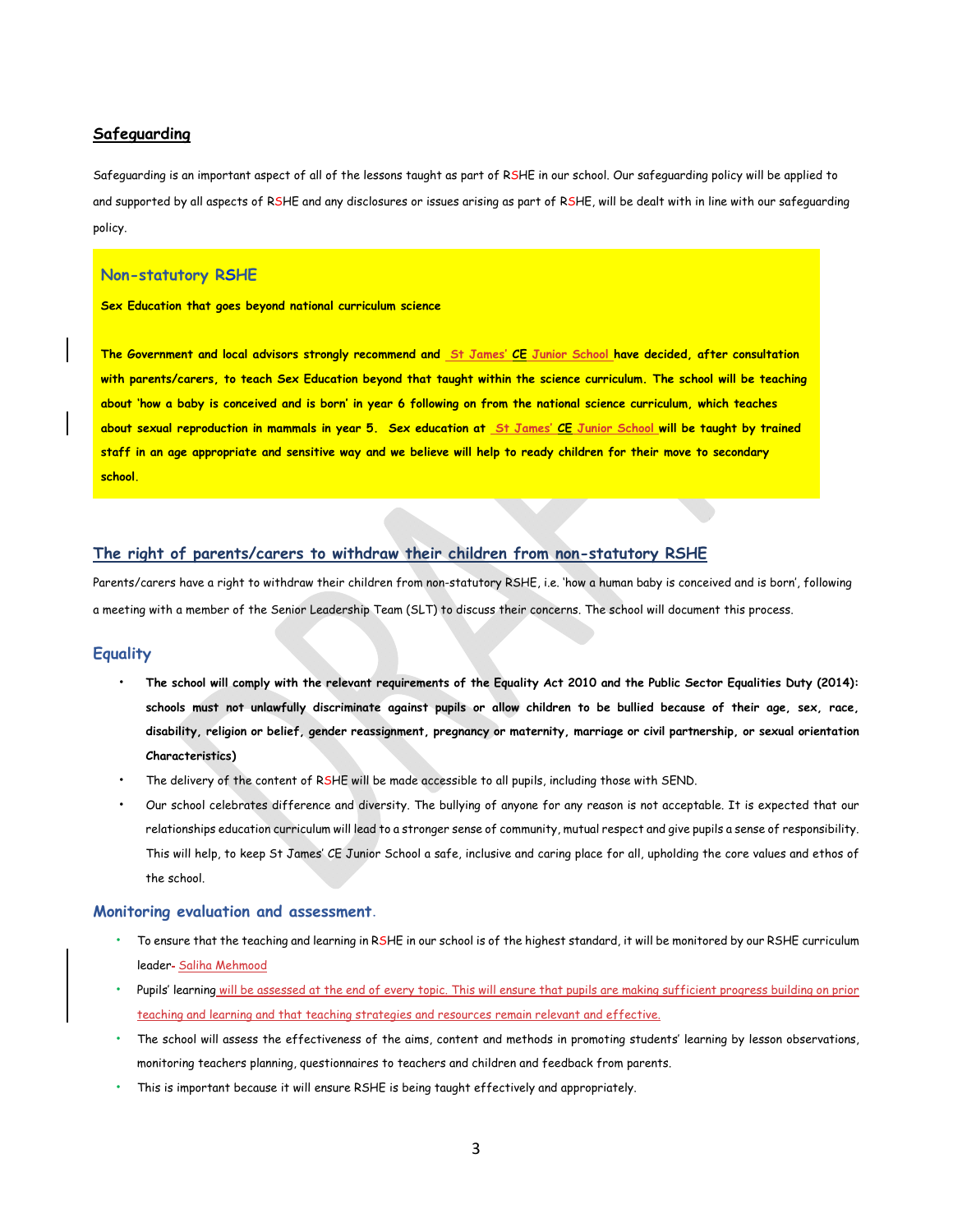## **Safeguarding**

Safeguarding is an important aspect of all of the lessons taught as part of RSHE in our school. Our safeguarding policy will be applied to and supported by all aspects of RSHE and any disclosures or issues arising as part of RSHE, will be dealt with in line with our safeguarding policy.

### **Non-statutory RSHE**

**Sex Education that goes beyond national curriculum science** 

**The Government and local advisors strongly recommend and St James' CE Junior School have decided, after consultation with parents/carers, to teach Sex Education beyond that taught within the science curriculum. The school will be teaching about 'how a baby is conceived and is born' in year 6 following on from the national science curriculum, which teaches about sexual reproduction in mammals in year 5. Sex education at St James' CE Junior School will be taught by trained staff in an age appropriate and sensitive way and we believe will help to ready children for their move to secondary school.** 

# **The right of parents/carers to withdraw their children from non-statutory RSHE**

Parents/carers have a right to withdraw their children from non-statutory RSHE, i.e. 'how a human baby is conceived and is born', following a meeting with a member of the Senior Leadership Team (SLT) to discuss their concerns. The school will document this process.

#### **Equality**

- **The school will comply with the relevant requirements of the Equality Act 2010 and the Public Sector Equalities Duty (2014): schools must not unlawfully discriminate against pupils or allow children to be bullied because of their age, sex, race, disability, religion or belief, gender reassignment, pregnancy or maternity, marriage or civil partnership, or sexual orientation Characteristics)**
- The delivery of the content of RSHE will be made accessible to all pupils, including those with SEND.
- Our school celebrates difference and diversity. The bullying of anyone for any reason is not acceptable. It is expected that our relationships education curriculum will lead to a stronger sense of community, mutual respect and give pupils a sense of responsibility. This will help, to keep St James' CE Junior School a safe, inclusive and caring place for all, upholding the core values and ethos of the school.

#### **Monitoring evaluation and assessment.**

- To ensure that the teaching and learning in RSHE in our school is of the highest standard, it will be monitored by our RSHE curriculum leader- Saliha Mehmood
- Pupils' learning will be assessed at the end of every topic. This will ensure that pupils are making sufficient progress building on prior teaching and learning and that teaching strategies and resources remain relevant and effective.
- The school will assess the effectiveness of the aims, content and methods in promoting students' learning by lesson observations, monitoring teachers planning, questionnaires to teachers and children and feedback from parents.
- This is important because it will ensure RSHE is being taught effectively and appropriately.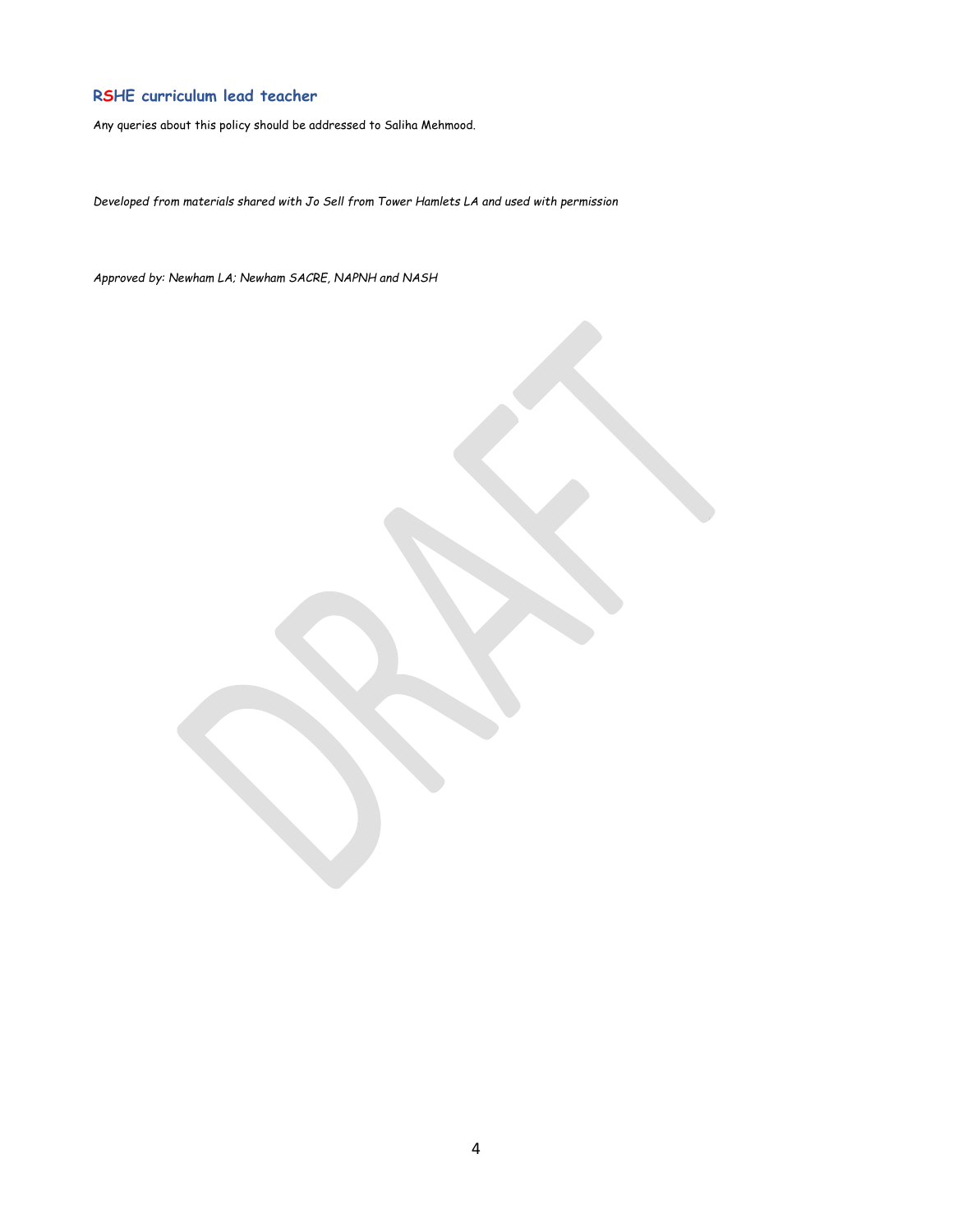# **RSHE curriculum lead teacher**

Any queries about this policy should be addressed to Saliha Mehmood.

*Developed from materials shared with Jo Sell from Tower Hamlets LA and used with permission* 

*Approved by: Newham LA; Newham SACRE, NAPNH and NASH*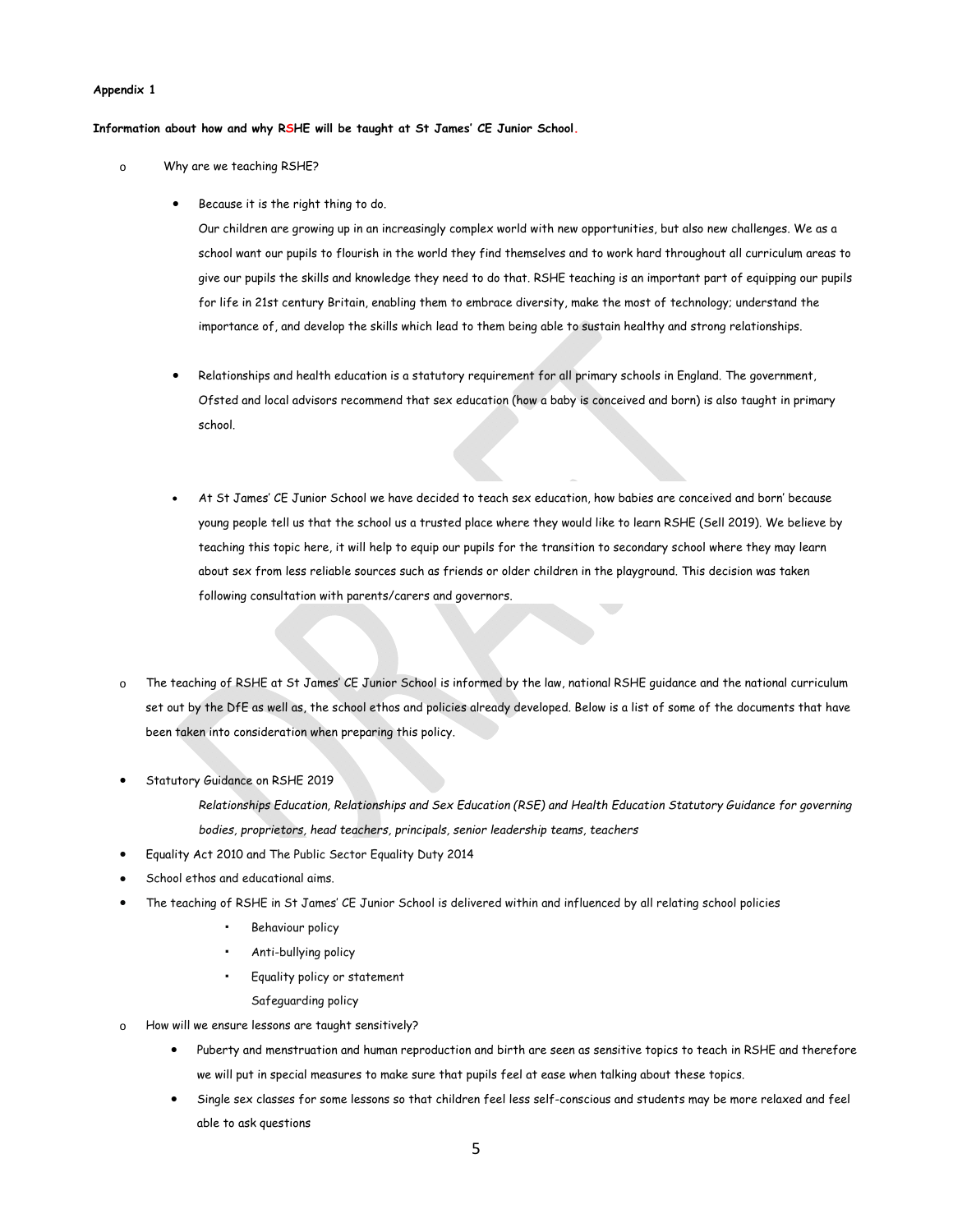#### **Appendix 1**

**Information about how and why RSHE will be taught at St James' CE Junior School.** 

- o Why are we teaching RSHE?
	- Because it is the right thing to do.

Our children are growing up in an increasingly complex world with new opportunities, but also new challenges. We as a school want our pupils to flourish in the world they find themselves and to work hard throughout all curriculum areas to give our pupils the skills and knowledge they need to do that. RSHE teaching is an important part of equipping our pupils for life in 21st century Britain, enabling them to embrace diversity, make the most of technology; understand the importance of, and develop the skills which lead to them being able to sustain healthy and strong relationships.

- Relationships and health education is a statutory requirement for all primary schools in England. The government, Ofsted and local advisors recommend that sex education (how a baby is conceived and born) is also taught in primary school.
- At St James' CE Junior School we have decided to teach sex education, how babies are conceived and born' because young people tell us that the school us a trusted place where they would like to learn RSHE (Sell 2019). We believe by teaching this topic here, it will help to equip our pupils for the transition to secondary school where they may learn about sex from less reliable sources such as friends or older children in the playground. This decision was taken following consultation with parents/carers and governors.
- o The teaching of RSHE at St James' CE Junior School is informed by the law, national RSHE guidance and the national curriculum set out by the DfE as well as, the school ethos and policies already developed. Below is a list of some of the documents that have been taken into consideration when preparing this policy.
- Statutory Guidance on RSHE 2019

*Relationships Education, Relationships and Sex Education (RSE) and Health Education Statutory Guidance for governing bodies, proprietors, head teachers, principals, senior leadership teams, teachers* 

- Equality Act 2010 and The Public Sector Equality Duty 2014
- School ethos and educational aims.
- The teaching of RSHE in St James' CE Junior School is delivered within and influenced by all relating school policies
	- Behaviour policy
	- Anti-bullying policy
	- Equality policy or statement
		- Safeguarding policy
- How will we ensure lessons are taught sensitively?
	- Puberty and menstruation and human reproduction and birth are seen as sensitive topics to teach in RSHE and therefore we will put in special measures to make sure that pupils feel at ease when talking about these topics.
	- Single sex classes for some lessons so that children feel less self-conscious and students may be more relaxed and feel able to ask questions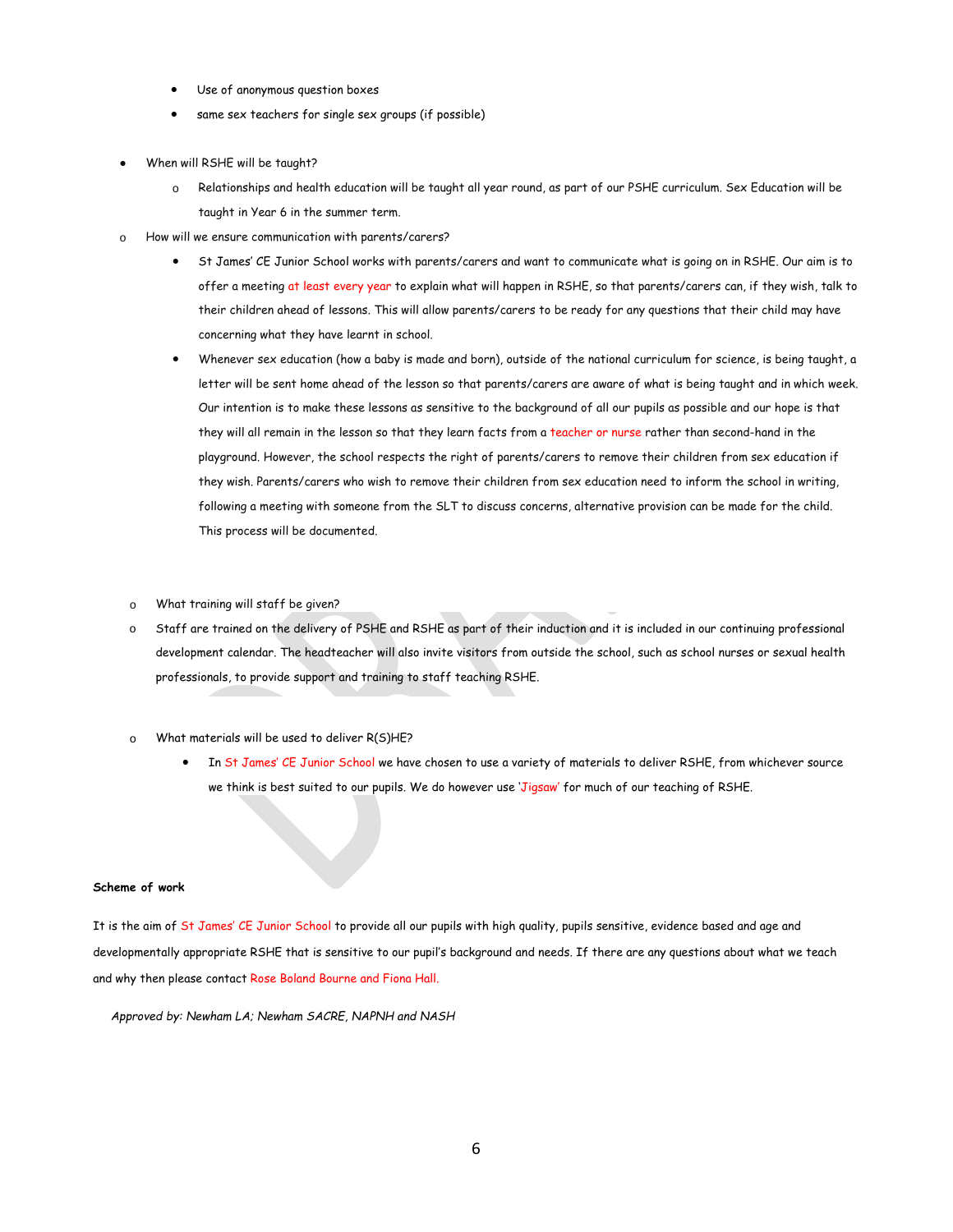- Use of anonymous question boxes
- same sex teachers for single sex groups (if possible)
- When will RSHE will be taught?
	- o Relationships and health education will be taught all year round, as part of our PSHE curriculum. Sex Education will be taught in Year 6 in the summer term.
- o How will we ensure communication with parents/carers?
	- St James' CE Junior School works with parents/carers and want to communicate what is going on in RSHE. Our aim is to offer a meeting at least every year to explain what will happen in RSHE, so that parents/carers can, if they wish, talk to their children ahead of lessons. This will allow parents/carers to be ready for any questions that their child may have concerning what they have learnt in school.
	- Whenever sex education (how a baby is made and born), outside of the national curriculum for science, is being taught, a letter will be sent home ahead of the lesson so that parents/carers are aware of what is being taught and in which week. Our intention is to make these lessons as sensitive to the background of all our pupils as possible and our hope is that they will all remain in the lesson so that they learn facts from a teacher or nurse rather than second-hand in the playground. However, the school respects the right of parents/carers to remove their children from sex education if they wish. Parents/carers who wish to remove their children from sex education need to inform the school in writing, following a meeting with someone from the SLT to discuss concerns, alternative provision can be made for the child. This process will be documented.
- o What training will staff be given?
- o Staff are trained on the delivery of PSHE and RSHE as part of their induction and it is included in our continuing professional development calendar. The headteacher will also invite visitors from outside the school, such as school nurses or sexual health professionals, to provide support and training to staff teaching RSHE.
- What materials will be used to deliver  $R(S)$ HE?
	- In St James' CE Junior School we have chosen to use a variety of materials to deliver RSHE, from whichever source we think is best suited to our pupils. We do however use 'Jigsaw' for much of our teaching of RSHE.

#### **Scheme of work**

It is the aim of St James' CE Junior School to provide all our pupils with high quality, pupils sensitive, evidence based and age and developmentally appropriate RSHE that is sensitive to our pupil's background and needs. If there are any questions about what we teach and why then please contact Rose Boland Bourne and Fiona Hall.

*Approved by: Newham LA; Newham SACRE, NAPNH and NASH*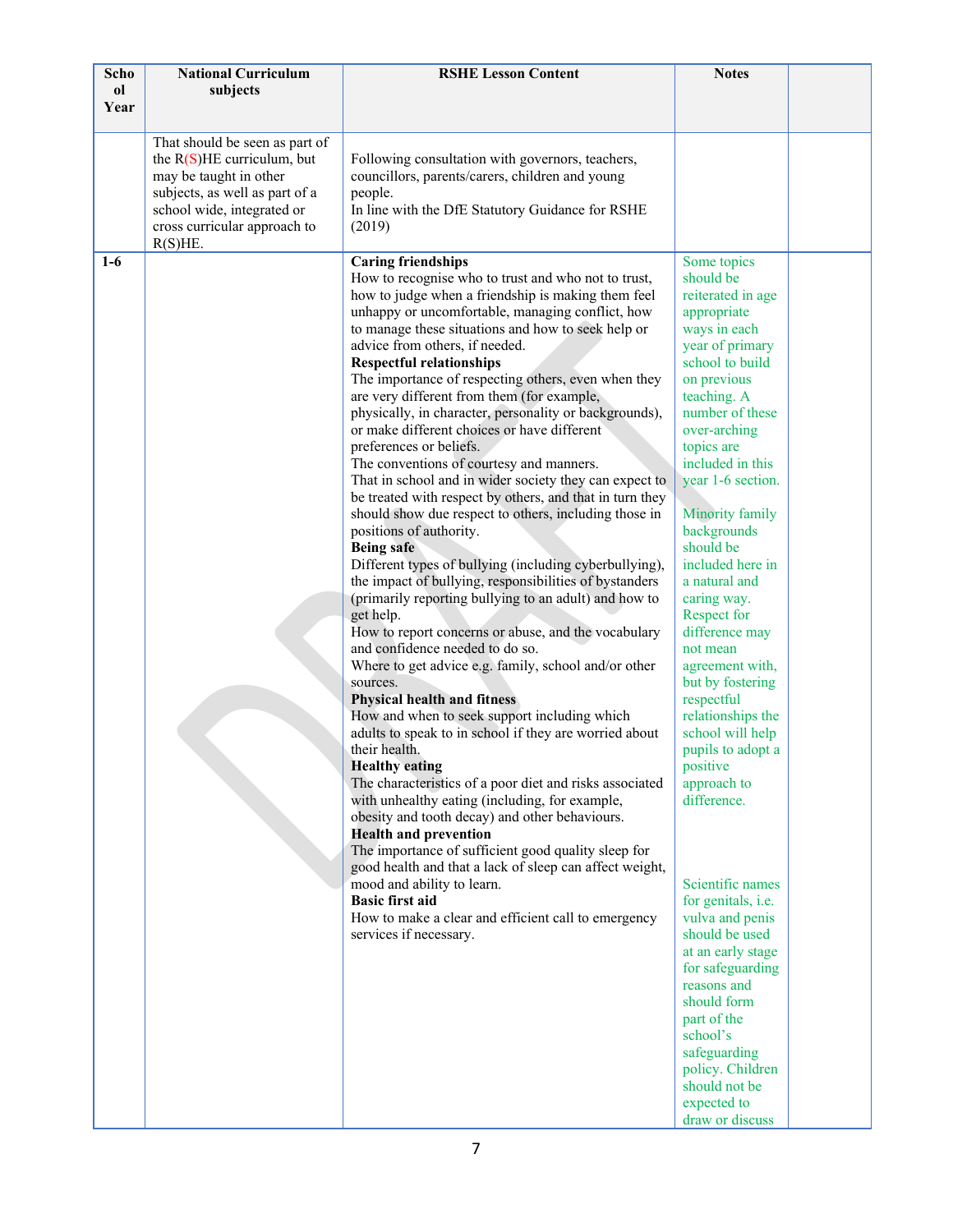| Scho  | <b>National Curriculum</b>     | <b>RSHE Lesson Content</b>                                                                             | <b>Notes</b>                                 |  |
|-------|--------------------------------|--------------------------------------------------------------------------------------------------------|----------------------------------------------|--|
| ol    | subjects                       |                                                                                                        |                                              |  |
| Year  |                                |                                                                                                        |                                              |  |
|       | That should be seen as part of |                                                                                                        |                                              |  |
|       | the $R(S)$ HE curriculum, but  | Following consultation with governors, teachers,                                                       |                                              |  |
|       | may be taught in other         | councillors, parents/carers, children and young                                                        |                                              |  |
|       | subjects, as well as part of a | people.                                                                                                |                                              |  |
|       | school wide, integrated or     | In line with the DfE Statutory Guidance for RSHE                                                       |                                              |  |
|       | cross curricular approach to   | (2019)                                                                                                 |                                              |  |
|       | R(S)HE.                        |                                                                                                        |                                              |  |
| $1-6$ |                                | <b>Caring friendships</b>                                                                              | Some topics                                  |  |
|       |                                | How to recognise who to trust and who not to trust,                                                    | should be                                    |  |
|       |                                | how to judge when a friendship is making them feel                                                     | reiterated in age                            |  |
|       |                                | unhappy or uncomfortable, managing conflict, how                                                       | appropriate                                  |  |
|       |                                | to manage these situations and how to seek help or<br>advice from others, if needed.                   | ways in each<br>year of primary              |  |
|       |                                | <b>Respectful relationships</b>                                                                        | school to build                              |  |
|       |                                | The importance of respecting others, even when they                                                    | on previous                                  |  |
|       |                                | are very different from them (for example,                                                             | teaching. A                                  |  |
|       |                                | physically, in character, personality or backgrounds),                                                 | number of these                              |  |
|       |                                | or make different choices or have different                                                            | over-arching                                 |  |
|       |                                | preferences or beliefs.                                                                                | topics are                                   |  |
|       |                                | The conventions of courtesy and manners.                                                               | included in this                             |  |
|       |                                | That in school and in wider society they can expect to                                                 | year 1-6 section.                            |  |
|       |                                | be treated with respect by others, and that in turn they                                               |                                              |  |
|       |                                | should show due respect to others, including those in                                                  | <b>Minority family</b>                       |  |
|       |                                | positions of authority.<br><b>Being safe</b>                                                           | backgrounds<br>should be                     |  |
|       |                                | Different types of bullying (including cyberbullying),                                                 | included here in                             |  |
|       |                                | the impact of bullying, responsibilities of bystanders                                                 | a natural and                                |  |
|       |                                | (primarily reporting bullying to an adult) and how to                                                  | caring way.                                  |  |
|       |                                | get help.                                                                                              | Respect for                                  |  |
|       |                                | How to report concerns or abuse, and the vocabulary                                                    | difference may                               |  |
|       |                                | and confidence needed to do so.                                                                        | not mean                                     |  |
|       |                                | Where to get advice e.g. family, school and/or other                                                   | agreement with,                              |  |
|       |                                | sources.                                                                                               | but by fostering                             |  |
|       |                                | <b>Physical health and fitness</b>                                                                     | respectful                                   |  |
|       |                                | How and when to seek support including which<br>adults to speak to in school if they are worried about | relationships the<br>school will help        |  |
|       |                                | their health.                                                                                          | pupils to adopt a                            |  |
|       |                                | <b>Healthy eating</b>                                                                                  | positive                                     |  |
|       |                                | The characteristics of a poor diet and risks associated                                                | approach to                                  |  |
|       |                                | with unhealthy eating (including, for example,                                                         | difference.                                  |  |
|       |                                | obesity and tooth decay) and other behaviours.                                                         |                                              |  |
|       |                                | <b>Health and prevention</b>                                                                           |                                              |  |
|       |                                | The importance of sufficient good quality sleep for                                                    |                                              |  |
|       |                                | good health and that a lack of sleep can affect weight,                                                | Scientific names                             |  |
|       |                                | mood and ability to learn.<br><b>Basic first aid</b>                                                   |                                              |  |
|       |                                | How to make a clear and efficient call to emergency                                                    | for genitals, <i>i.e.</i><br>vulva and penis |  |
|       |                                | services if necessary.                                                                                 | should be used                               |  |
|       |                                |                                                                                                        | at an early stage                            |  |
|       |                                |                                                                                                        | for safeguarding                             |  |
|       |                                |                                                                                                        | reasons and                                  |  |
|       |                                |                                                                                                        | should form                                  |  |
|       |                                |                                                                                                        | part of the                                  |  |
|       |                                |                                                                                                        | school's                                     |  |
|       |                                |                                                                                                        | safeguarding                                 |  |
|       |                                |                                                                                                        | policy. Children<br>should not be            |  |
|       |                                |                                                                                                        | expected to                                  |  |
|       |                                |                                                                                                        | draw or discuss                              |  |
|       |                                |                                                                                                        |                                              |  |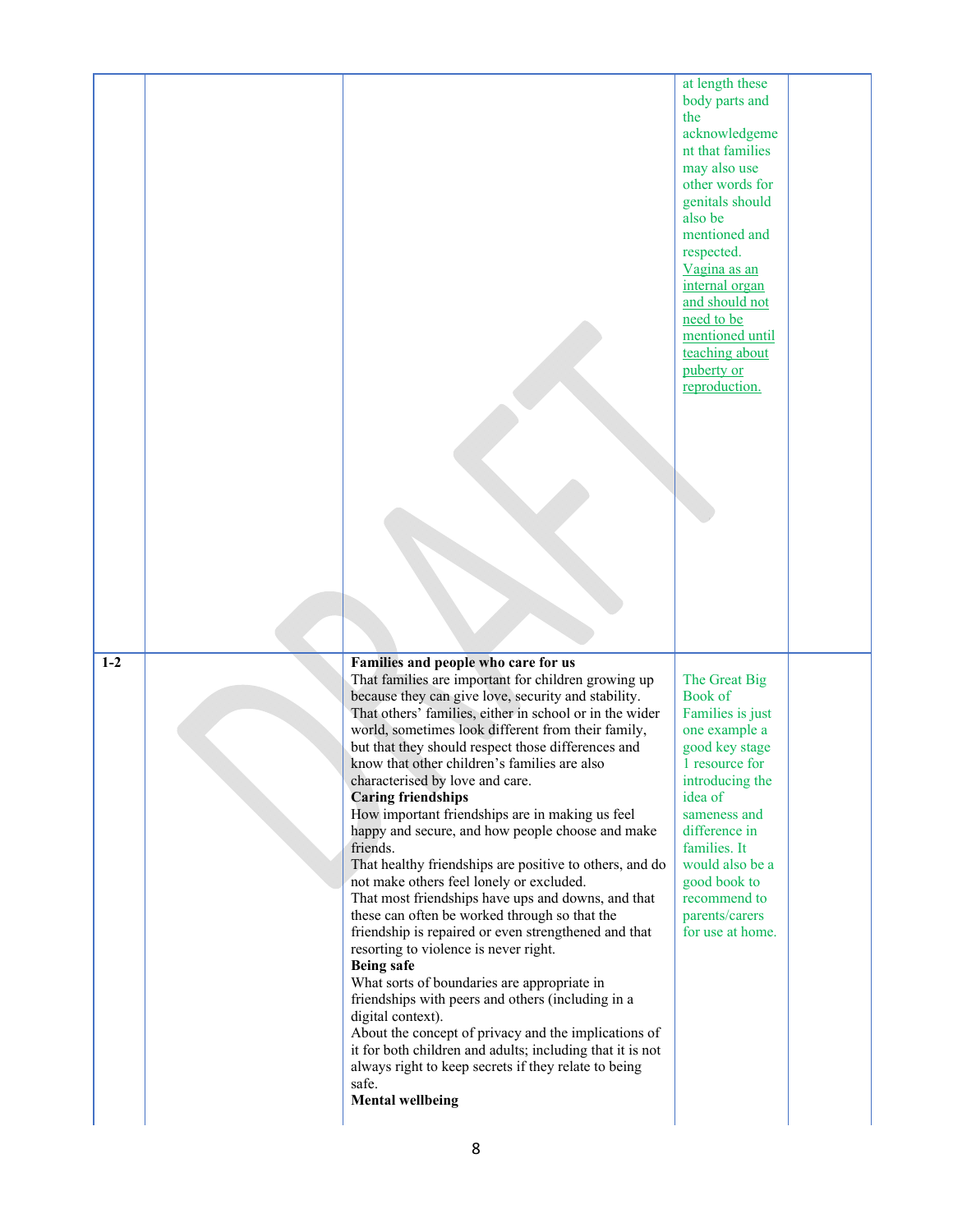|       |                                                                                                                                                                                                                                                                                                                                                                                                                                                                                                                                                                                                                                                                                                                                                                                                                                                                                                                                                                                                                                                                                                                                                                                                                                           | at length these<br>body parts and<br>the<br>acknowledgeme<br>nt that families<br>may also use<br>other words for<br>genitals should<br>also be<br>mentioned and<br>respected.<br>Vagina as an<br>internal organ<br>and should not<br>need to be<br>mentioned until<br>teaching about<br>puberty or<br>reproduction. |  |
|-------|-------------------------------------------------------------------------------------------------------------------------------------------------------------------------------------------------------------------------------------------------------------------------------------------------------------------------------------------------------------------------------------------------------------------------------------------------------------------------------------------------------------------------------------------------------------------------------------------------------------------------------------------------------------------------------------------------------------------------------------------------------------------------------------------------------------------------------------------------------------------------------------------------------------------------------------------------------------------------------------------------------------------------------------------------------------------------------------------------------------------------------------------------------------------------------------------------------------------------------------------|---------------------------------------------------------------------------------------------------------------------------------------------------------------------------------------------------------------------------------------------------------------------------------------------------------------------|--|
| $1-2$ | Families and people who care for us<br>That families are important for children growing up<br>because they can give love, security and stability.<br>That others' families, either in school or in the wider<br>world, sometimes look different from their family,<br>but that they should respect those differences and<br>know that other children's families are also<br>characterised by love and care.<br><b>Caring friendships</b><br>How important friendships are in making us feel<br>happy and secure, and how people choose and make<br>friends.<br>That healthy friendships are positive to others, and do<br>not make others feel lonely or excluded.<br>That most friendships have ups and downs, and that<br>these can often be worked through so that the<br>friendship is repaired or even strengthened and that<br>resorting to violence is never right.<br><b>Being safe</b><br>What sorts of boundaries are appropriate in<br>friendships with peers and others (including in a<br>digital context).<br>About the concept of privacy and the implications of<br>it for both children and adults; including that it is not<br>always right to keep secrets if they relate to being<br>safe.<br><b>Mental wellbeing</b> | The Great Big<br>Book of<br>Families is just<br>one example a<br>good key stage<br>1 resource for<br>introducing the<br>idea of<br>sameness and<br>difference in<br>families. It<br>would also be a<br>good book to<br>recommend to<br>parents/carers<br>for use at home.                                           |  |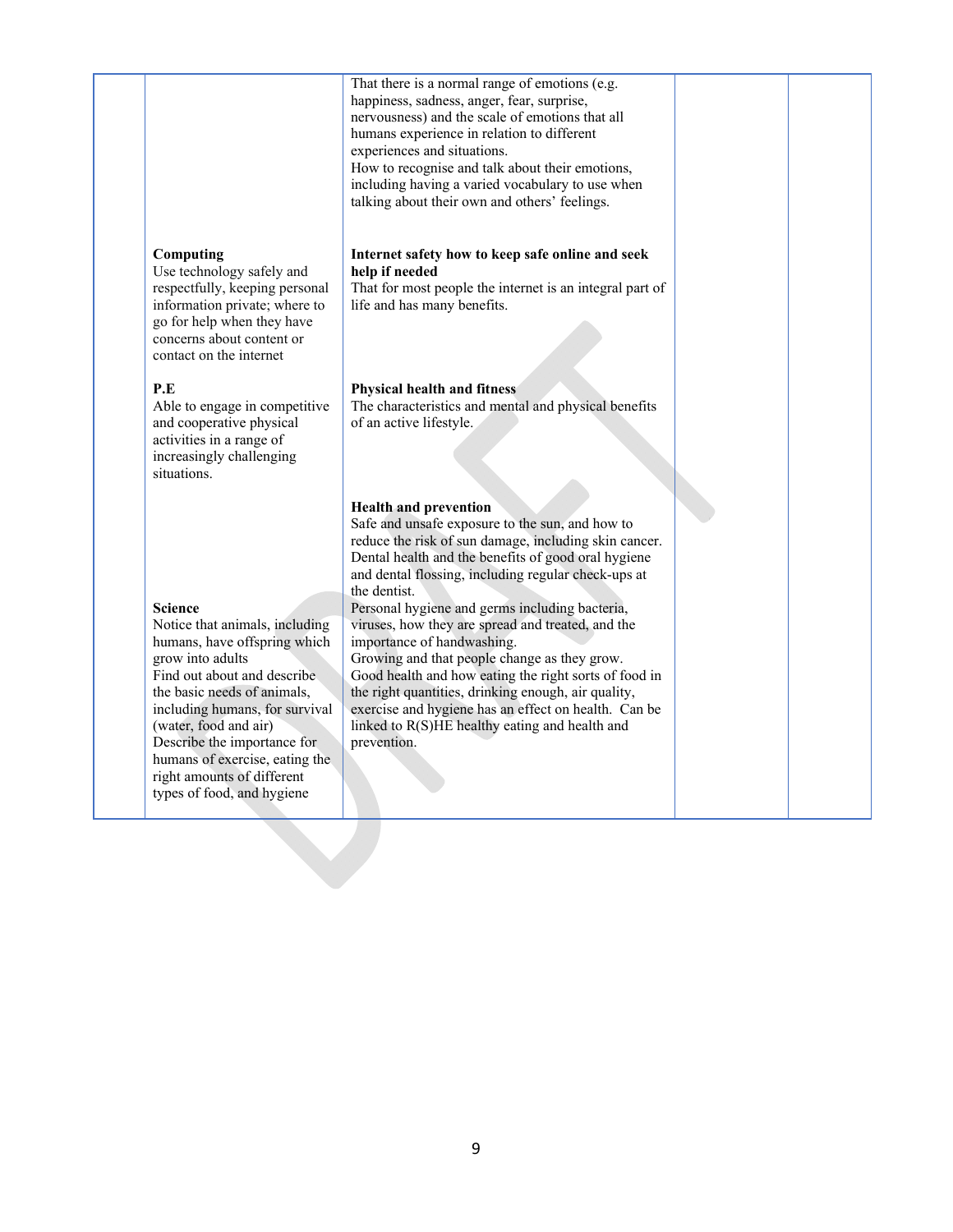|                                                                                                                                                                                                                                                                                                                                                            | That there is a normal range of emotions (e.g.<br>happiness, sadness, anger, fear, surprise,<br>nervousness) and the scale of emotions that all<br>humans experience in relation to different<br>experiences and situations.<br>How to recognise and talk about their emotions,<br>including having a varied vocabulary to use when<br>talking about their own and others' feelings.                                                                                                                                                                                                                                                                                                                 |  |
|------------------------------------------------------------------------------------------------------------------------------------------------------------------------------------------------------------------------------------------------------------------------------------------------------------------------------------------------------------|------------------------------------------------------------------------------------------------------------------------------------------------------------------------------------------------------------------------------------------------------------------------------------------------------------------------------------------------------------------------------------------------------------------------------------------------------------------------------------------------------------------------------------------------------------------------------------------------------------------------------------------------------------------------------------------------------|--|
| Computing<br>Use technology safely and<br>respectfully, keeping personal<br>information private; where to<br>go for help when they have<br>concerns about content or<br>contact on the internet                                                                                                                                                            | Internet safety how to keep safe online and seek<br>help if needed<br>That for most people the internet is an integral part of<br>life and has many benefits.                                                                                                                                                                                                                                                                                                                                                                                                                                                                                                                                        |  |
| P.E<br>Able to engage in competitive<br>and cooperative physical<br>activities in a range of<br>increasingly challenging<br>situations.                                                                                                                                                                                                                    | <b>Physical health and fitness</b><br>The characteristics and mental and physical benefits<br>of an active lifestyle.                                                                                                                                                                                                                                                                                                                                                                                                                                                                                                                                                                                |  |
| <b>Science</b><br>Notice that animals, including<br>humans, have offspring which<br>grow into adults<br>Find out about and describe<br>the basic needs of animals,<br>including humans, for survival<br>(water, food and air)<br>Describe the importance for<br>humans of exercise, eating the<br>right amounts of different<br>types of food, and hygiene | <b>Health and prevention</b><br>Safe and unsafe exposure to the sun, and how to<br>reduce the risk of sun damage, including skin cancer.<br>Dental health and the benefits of good oral hygiene<br>and dental flossing, including regular check-ups at<br>the dentist.<br>Personal hygiene and germs including bacteria,<br>viruses, how they are spread and treated, and the<br>importance of handwashing.<br>Growing and that people change as they grow.<br>Good health and how eating the right sorts of food in<br>the right quantities, drinking enough, air quality,<br>exercise and hygiene has an effect on health. Can be<br>linked to R(S)HE healthy eating and health and<br>prevention. |  |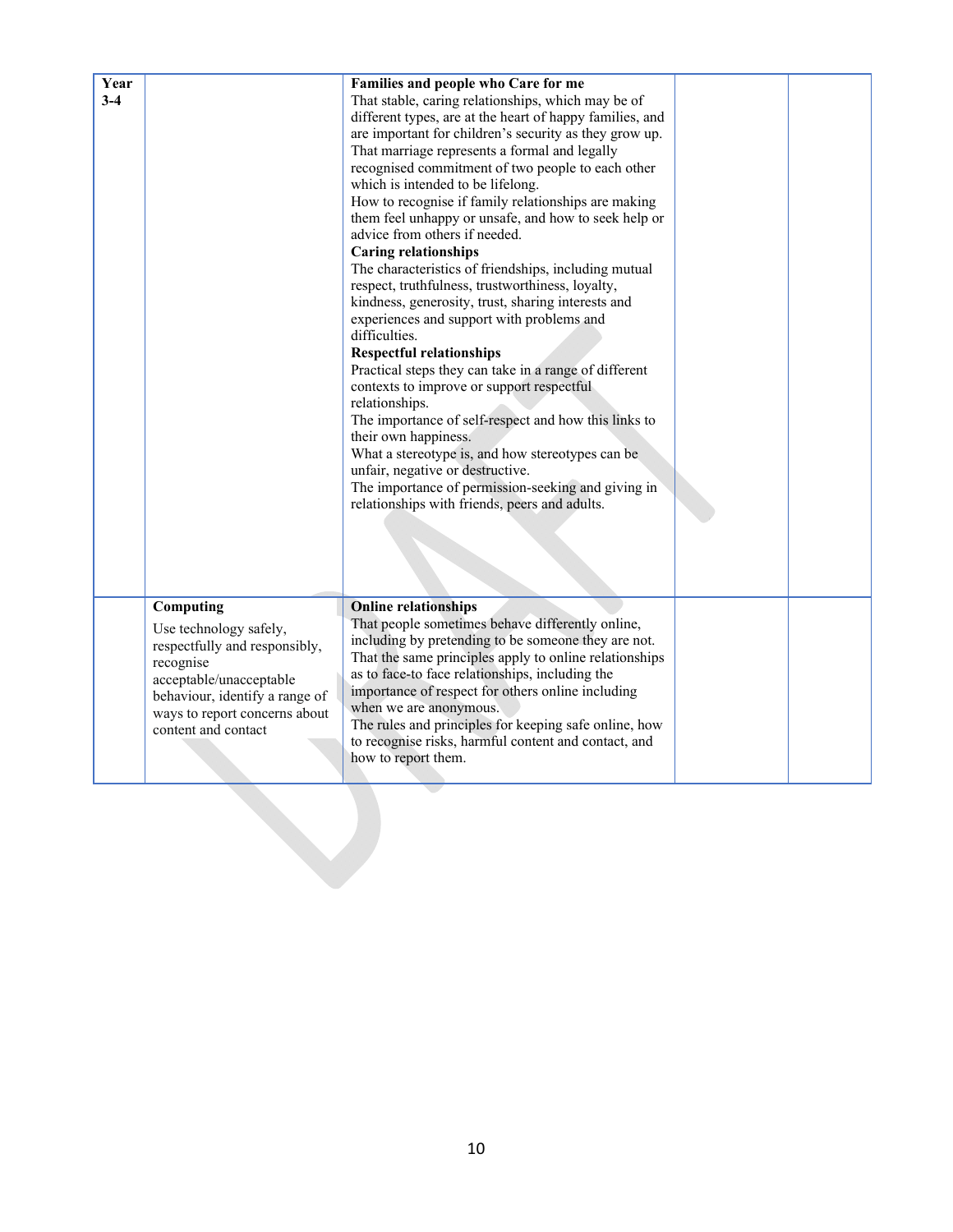| Year<br>$3-4$ |                                                                                                                                                                                                        | Families and people who Care for me<br>That stable, caring relationships, which may be of<br>different types, are at the heart of happy families, and<br>are important for children's security as they grow up.<br>That marriage represents a formal and legally<br>recognised commitment of two people to each other<br>which is intended to be lifelong.<br>How to recognise if family relationships are making<br>them feel unhappy or unsafe, and how to seek help or<br>advice from others if needed.<br><b>Caring relationships</b><br>The characteristics of friendships, including mutual<br>respect, truthfulness, trustworthiness, loyalty,<br>kindness, generosity, trust, sharing interests and<br>experiences and support with problems and<br>difficulties.<br><b>Respectful relationships</b><br>Practical steps they can take in a range of different<br>contexts to improve or support respectful<br>relationships.<br>The importance of self-respect and how this links to<br>their own happiness.<br>What a stereotype is, and how stereotypes can be<br>unfair, negative or destructive.<br>The importance of permission-seeking and giving in<br>relationships with friends, peers and adults. |  |
|---------------|--------------------------------------------------------------------------------------------------------------------------------------------------------------------------------------------------------|---------------------------------------------------------------------------------------------------------------------------------------------------------------------------------------------------------------------------------------------------------------------------------------------------------------------------------------------------------------------------------------------------------------------------------------------------------------------------------------------------------------------------------------------------------------------------------------------------------------------------------------------------------------------------------------------------------------------------------------------------------------------------------------------------------------------------------------------------------------------------------------------------------------------------------------------------------------------------------------------------------------------------------------------------------------------------------------------------------------------------------------------------------------------------------------------------------------------|--|
|               | Computing<br>Use technology safely,<br>respectfully and responsibly,<br>recognise<br>acceptable/unacceptable<br>behaviour, identify a range of<br>ways to report concerns about<br>content and contact | <b>Online relationships</b><br>That people sometimes behave differently online,<br>including by pretending to be someone they are not.<br>That the same principles apply to online relationships<br>as to face-to face relationships, including the<br>importance of respect for others online including<br>when we are anonymous.<br>The rules and principles for keeping safe online, how<br>to recognise risks, harmful content and contact, and<br>how to report them.                                                                                                                                                                                                                                                                                                                                                                                                                                                                                                                                                                                                                                                                                                                                          |  |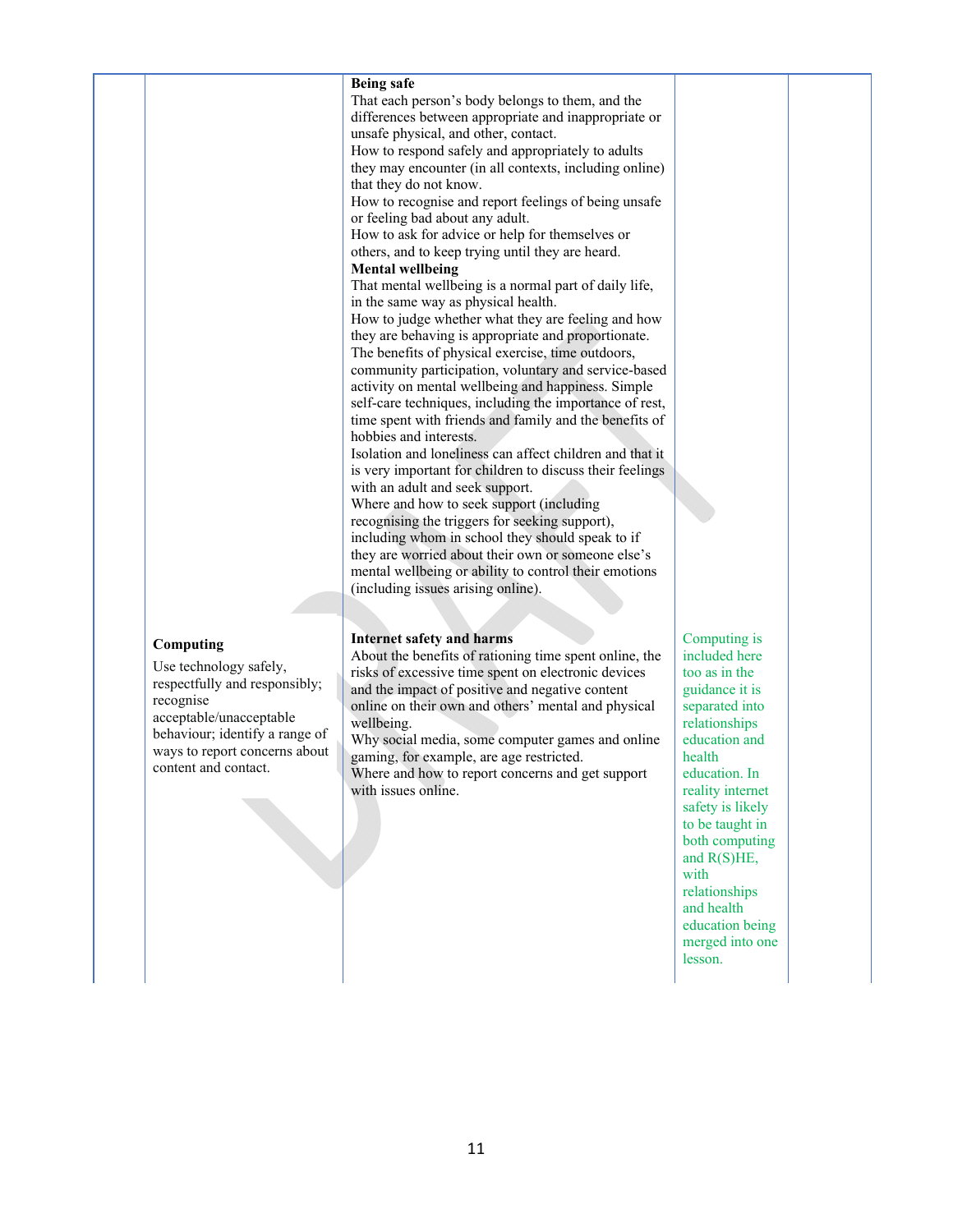## **Being safe**  That each person's body belongs to them, and the differences between appropriate and inappropriate or unsafe physical, and other, contact. How to respond safely and appropriately to adults they may encounter (in all contexts, including online) that they do not know. How to recognise and report feelings of being unsafe or feeling bad about any adult. How to ask for advice or help for themselves or others, and to keep trying until they are heard. **Mental wellbeing**  That mental wellbeing is a normal part of daily life, in the same way as physical health. How to judge whether what they are feeling and how they are behaving is appropriate and proportionate. The benefits of physical exercise, time outdoors, community participation, voluntary and service-based activity on mental wellbeing and happiness. Simple self-care techniques, including the importance of rest, time spent with friends and family and the benefits of hobbies and interests. Isolation and loneliness can affect children and that it is very important for children to discuss their feelings with an adult and seek support. Where and how to seek support (including recognising the triggers for seeking support), including whom in school they should speak to if they are worried about their own or someone else's mental wellbeing or ability to control their emotions (including issues arising online).

#### **Computing**

Use technology safely, respectfully and responsibly; recognise acceptable/unacceptable behaviour; identify a range of ways to report concerns about content and contact.

**Internet safety and harms**  About the benefits of rationing time spent online, the risks of excessive time spent on electronic devices and the impact of positive and negative content online on their own and others' mental and physical wellbeing.

Why social media, some computer games and online gaming, for example, are age restricted.

Where and how to report concerns and get support with issues online.

Computing is included here too as in the guidance it is separated into relationships education and health education. In reality internet safety is likely to be taught in both computing and R(S)HE, with relationships and health education being merged into one lesson.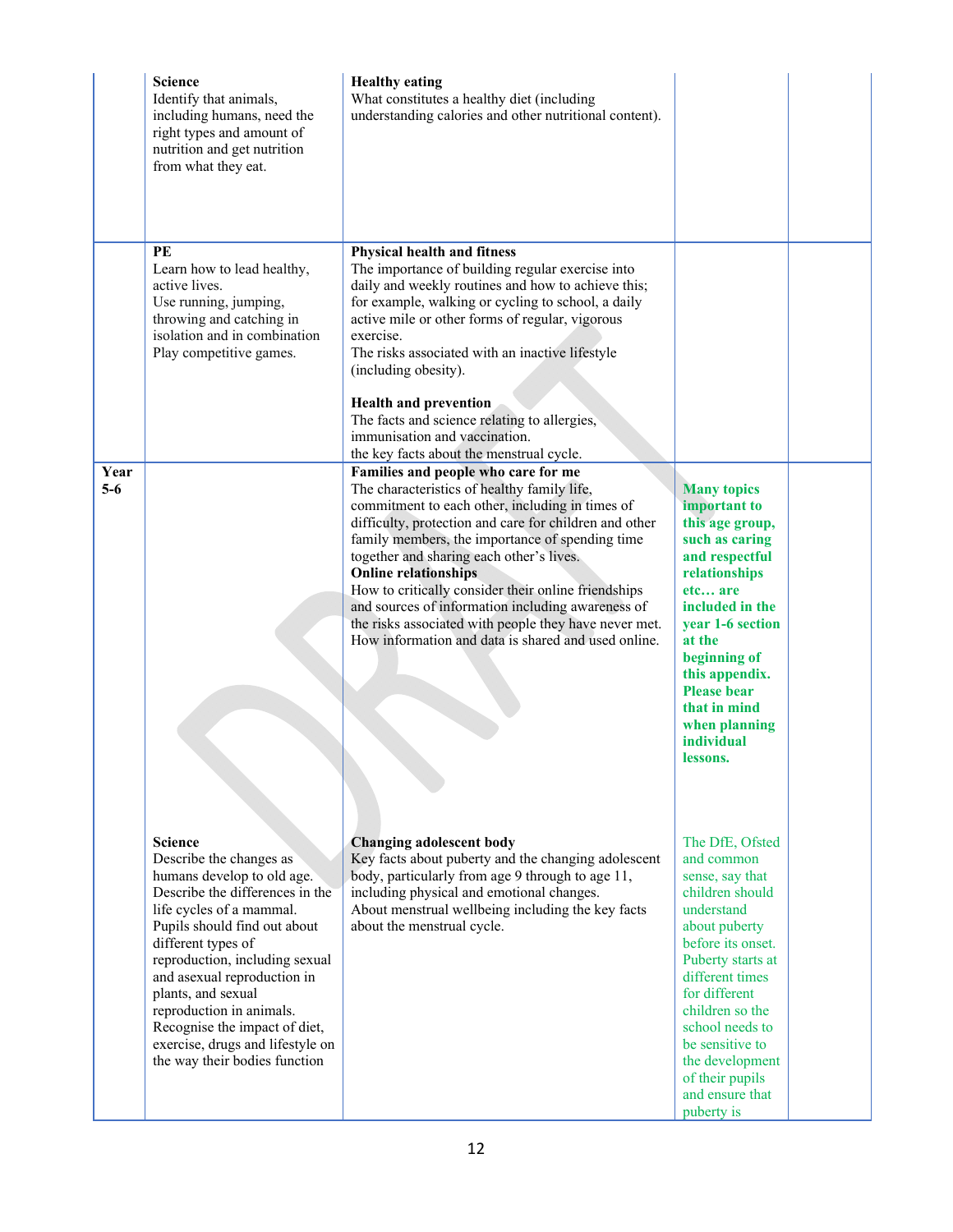|               | <b>Science</b><br>Identify that animals,<br>including humans, need the<br>right types and amount of<br>nutrition and get nutrition<br>from what they eat.                                                                                                                                                                                                                                                             | <b>Healthy eating</b><br>What constitutes a healthy diet (including<br>understanding calories and other nutritional content).                                                                                                                                                                                                                                                                                                                                                                                                                             |                                                                                                                                                                                                                                                                                                                  |  |
|---------------|-----------------------------------------------------------------------------------------------------------------------------------------------------------------------------------------------------------------------------------------------------------------------------------------------------------------------------------------------------------------------------------------------------------------------|-----------------------------------------------------------------------------------------------------------------------------------------------------------------------------------------------------------------------------------------------------------------------------------------------------------------------------------------------------------------------------------------------------------------------------------------------------------------------------------------------------------------------------------------------------------|------------------------------------------------------------------------------------------------------------------------------------------------------------------------------------------------------------------------------------------------------------------------------------------------------------------|--|
|               | PE<br>Learn how to lead healthy,<br>active lives.<br>Use running, jumping,<br>throwing and catching in<br>isolation and in combination<br>Play competitive games.                                                                                                                                                                                                                                                     | <b>Physical health and fitness</b><br>The importance of building regular exercise into<br>daily and weekly routines and how to achieve this;<br>for example, walking or cycling to school, a daily<br>active mile or other forms of regular, vigorous<br>exercise.<br>The risks associated with an inactive lifestyle<br>(including obesity).<br><b>Health and prevention</b><br>The facts and science relating to allergies,<br>immunisation and vaccination.<br>the key facts about the menstrual cycle.                                                |                                                                                                                                                                                                                                                                                                                  |  |
| Year<br>$5-6$ |                                                                                                                                                                                                                                                                                                                                                                                                                       | Families and people who care for me<br>The characteristics of healthy family life,<br>commitment to each other, including in times of<br>difficulty, protection and care for children and other<br>family members, the importance of spending time<br>together and sharing each other's lives.<br><b>Online relationships</b><br>How to critically consider their online friendships<br>and sources of information including awareness of<br>the risks associated with people they have never met.<br>How information and data is shared and used online. | <b>Many topics</b><br>important to<br>this age group,<br>such as caring<br>and respectful<br>relationships<br>etc are<br>included in the<br>year 1-6 section<br>at the<br>beginning of<br>this appendix.<br><b>Please bear</b><br>that in mind<br>when planning<br><i>individual</i><br>lessons.                 |  |
|               | <b>Science</b><br>Describe the changes as<br>humans develop to old age.<br>Describe the differences in the<br>life cycles of a mammal.<br>Pupils should find out about<br>different types of<br>reproduction, including sexual<br>and asexual reproduction in<br>plants, and sexual<br>reproduction in animals.<br>Recognise the impact of diet,<br>exercise, drugs and lifestyle on<br>the way their bodies function | <b>Changing adolescent body</b><br>Key facts about puberty and the changing adolescent<br>body, particularly from age 9 through to age 11,<br>including physical and emotional changes.<br>About menstrual wellbeing including the key facts<br>about the menstrual cycle.                                                                                                                                                                                                                                                                                | The DfE, Ofsted<br>and common<br>sense, say that<br>children should<br>understand<br>about puberty<br>before its onset.<br>Puberty starts at<br>different times<br>for different<br>children so the<br>school needs to<br>be sensitive to<br>the development<br>of their pupils<br>and ensure that<br>puberty is |  |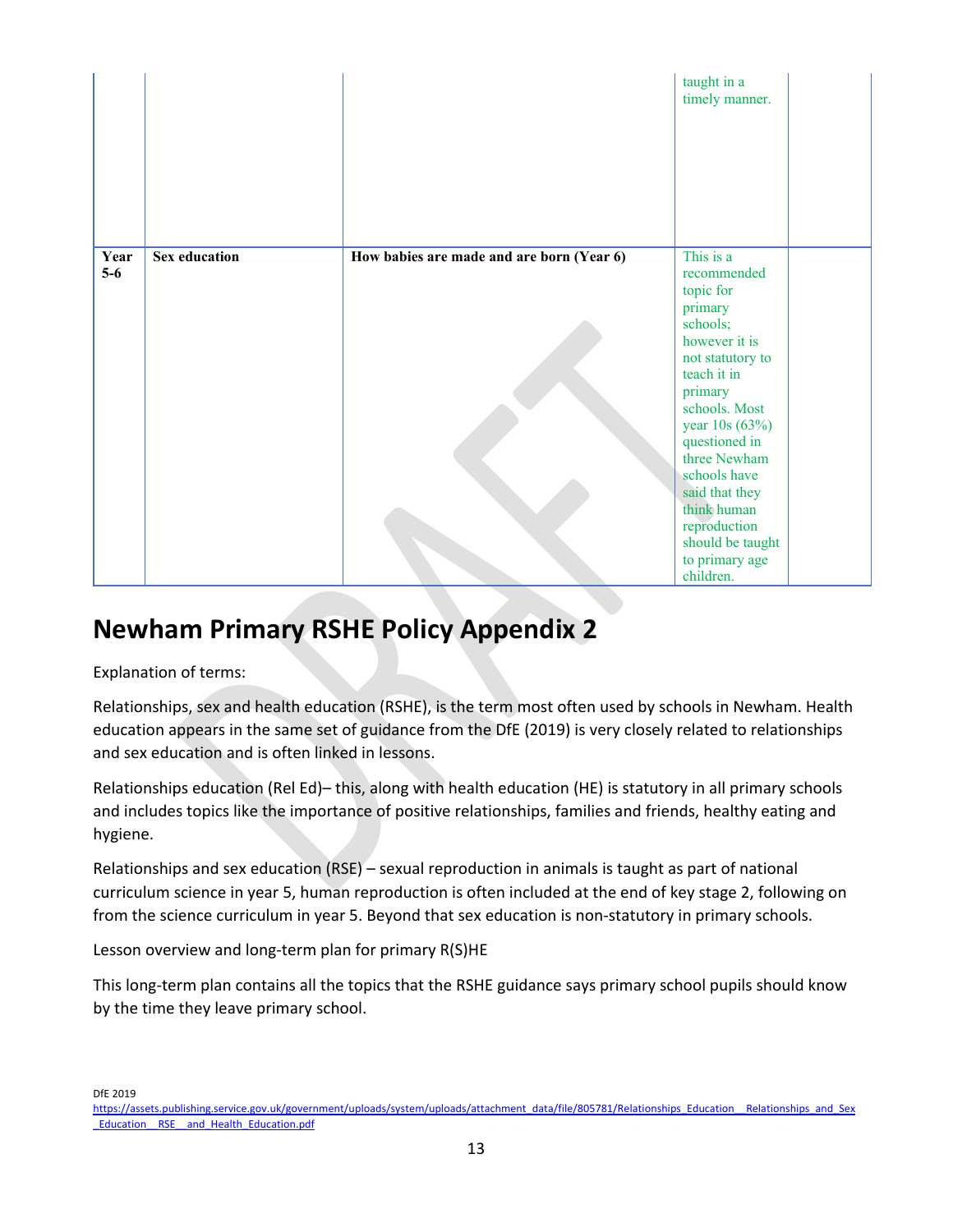|               |                      |                                           | taught in a<br>timely manner.                                                                                                                                                                                                                                                                                       |  |
|---------------|----------------------|-------------------------------------------|---------------------------------------------------------------------------------------------------------------------------------------------------------------------------------------------------------------------------------------------------------------------------------------------------------------------|--|
| Year<br>$5-6$ | <b>Sex education</b> | How babies are made and are born (Year 6) | This is a<br>recommended<br>topic for<br>primary<br>schools;<br>however it is<br>not statutory to<br>teach it in<br>primary<br>schools. Most<br>year 10s (63%)<br>questioned in<br>three Newham<br>schools have<br>said that they<br>think human<br>reproduction<br>should be taught<br>to primary age<br>children. |  |

# **Newham Primary RSHE Policy Appendix 2**

Explanation of terms:

Relationships, sex and health education (RSHE), is the term most often used by schools in Newham. Health education appears in the same set of guidance from the DfE (2019) is very closely related to relationships and sex education and is often linked in lessons.

Relationships education (Rel Ed)– this, along with health education (HE) is statutory in all primary schools and includes topics like the importance of positive relationships, families and friends, healthy eating and hygiene.

Relationships and sex education (RSE) – sexual reproduction in animals is taught as part of national curriculum science in year 5, human reproduction is often included at the end of key stage 2, following on from the science curriculum in year 5. Beyond that sex education is non-statutory in primary schools.

Lesson overview and long-term plan for primary R(S)HE

This long-term plan contains all the topics that the RSHE guidance says primary school pupils should know by the time they leave primary school.

DfE 2019

https://assets.publishing.service.gov.uk/government/uploads/system/uploads/attachment\_data/file/805781/Relationships\_Education\_\_Relationships\_and\_Sex Education RSE and Health Education.pdf